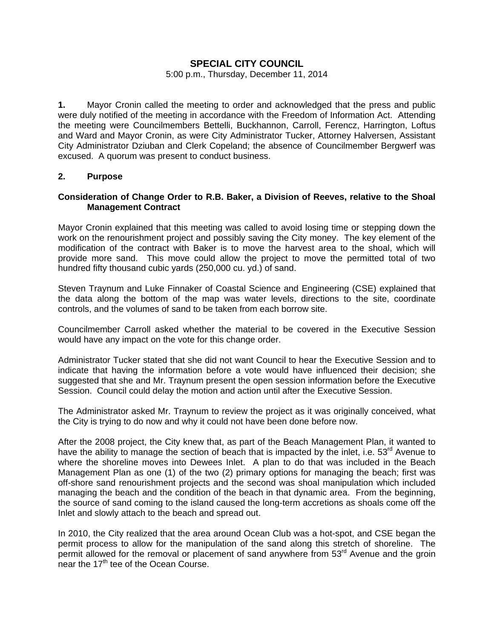# **SPECIAL CITY COUNCIL**

#### 5:00 p.m., Thursday, December 11, 2014

**1.** Mayor Cronin called the meeting to order and acknowledged that the press and public were duly notified of the meeting in accordance with the Freedom of Information Act. Attending the meeting were Councilmembers Bettelli, Buckhannon, Carroll, Ferencz, Harrington, Loftus and Ward and Mayor Cronin, as were City Administrator Tucker, Attorney Halversen, Assistant City Administrator Dziuban and Clerk Copeland; the absence of Councilmember Bergwerf was excused. A quorum was present to conduct business.

### **2. Purpose**

# **Consideration of Change Order to R.B. Baker, a Division of Reeves, relative to the Shoal Management Contract**

Mayor Cronin explained that this meeting was called to avoid losing time or stepping down the work on the renourishment project and possibly saving the City money. The key element of the modification of the contract with Baker is to move the harvest area to the shoal, which will provide more sand. This move could allow the project to move the permitted total of two hundred fifty thousand cubic yards (250,000 cu. yd.) of sand.

Steven Traynum and Luke Finnaker of Coastal Science and Engineering (CSE) explained that the data along the bottom of the map was water levels, directions to the site, coordinate controls, and the volumes of sand to be taken from each borrow site.

Councilmember Carroll asked whether the material to be covered in the Executive Session would have any impact on the vote for this change order.

Administrator Tucker stated that she did not want Council to hear the Executive Session and to indicate that having the information before a vote would have influenced their decision; she suggested that she and Mr. Traynum present the open session information before the Executive Session. Council could delay the motion and action until after the Executive Session.

The Administrator asked Mr. Traynum to review the project as it was originally conceived, what the City is trying to do now and why it could not have been done before now.

After the 2008 project, the City knew that, as part of the Beach Management Plan, it wanted to have the ability to manage the section of beach that is impacted by the inlet, i.e. 53<sup>rd</sup> Avenue to where the shoreline moves into Dewees Inlet. A plan to do that was included in the Beach Management Plan as one (1) of the two (2) primary options for managing the beach; first was off-shore sand renourishment projects and the second was shoal manipulation which included managing the beach and the condition of the beach in that dynamic area. From the beginning, the source of sand coming to the island caused the long-term accretions as shoals come off the Inlet and slowly attach to the beach and spread out.

In 2010, the City realized that the area around Ocean Club was a hot-spot, and CSE began the permit process to allow for the manipulation of the sand along this stretch of shoreline. The permit allowed for the removal or placement of sand anywhere from 53<sup>rd</sup> Avenue and the groin near the 17<sup>th</sup> tee of the Ocean Course.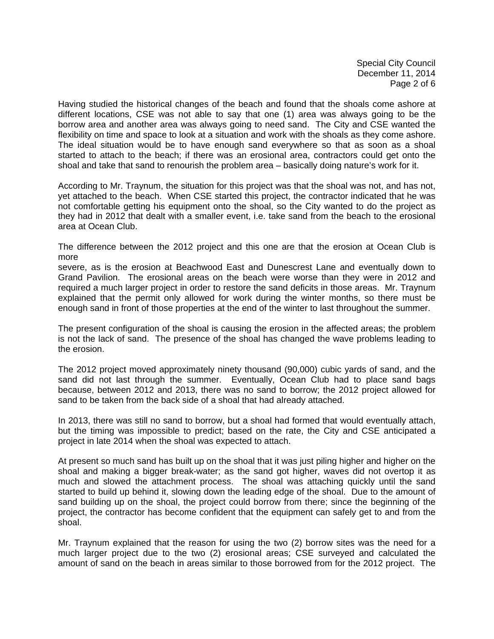Special City Council December 11, 2014 Page 2 of 6

Having studied the historical changes of the beach and found that the shoals come ashore at different locations, CSE was not able to say that one (1) area was always going to be the borrow area and another area was always going to need sand. The City and CSE wanted the flexibility on time and space to look at a situation and work with the shoals as they come ashore. The ideal situation would be to have enough sand everywhere so that as soon as a shoal started to attach to the beach; if there was an erosional area, contractors could get onto the shoal and take that sand to renourish the problem area – basically doing nature's work for it.

According to Mr. Traynum, the situation for this project was that the shoal was not, and has not, yet attached to the beach. When CSE started this project, the contractor indicated that he was not comfortable getting his equipment onto the shoal, so the City wanted to do the project as they had in 2012 that dealt with a smaller event, i.e. take sand from the beach to the erosional area at Ocean Club.

The difference between the 2012 project and this one are that the erosion at Ocean Club is more

severe, as is the erosion at Beachwood East and Dunescrest Lane and eventually down to Grand Pavilion. The erosional areas on the beach were worse than they were in 2012 and required a much larger project in order to restore the sand deficits in those areas. Mr. Traynum explained that the permit only allowed for work during the winter months, so there must be enough sand in front of those properties at the end of the winter to last throughout the summer.

The present configuration of the shoal is causing the erosion in the affected areas; the problem is not the lack of sand. The presence of the shoal has changed the wave problems leading to the erosion.

The 2012 project moved approximately ninety thousand (90,000) cubic yards of sand, and the sand did not last through the summer. Eventually, Ocean Club had to place sand bags because, between 2012 and 2013, there was no sand to borrow; the 2012 project allowed for sand to be taken from the back side of a shoal that had already attached.

In 2013, there was still no sand to borrow, but a shoal had formed that would eventually attach, but the timing was impossible to predict; based on the rate, the City and CSE anticipated a project in late 2014 when the shoal was expected to attach.

At present so much sand has built up on the shoal that it was just piling higher and higher on the shoal and making a bigger break-water; as the sand got higher, waves did not overtop it as much and slowed the attachment process. The shoal was attaching quickly until the sand started to build up behind it, slowing down the leading edge of the shoal. Due to the amount of sand building up on the shoal, the project could borrow from there; since the beginning of the project, the contractor has become confident that the equipment can safely get to and from the shoal.

Mr. Traynum explained that the reason for using the two (2) borrow sites was the need for a much larger project due to the two (2) erosional areas; CSE surveyed and calculated the amount of sand on the beach in areas similar to those borrowed from for the 2012 project. The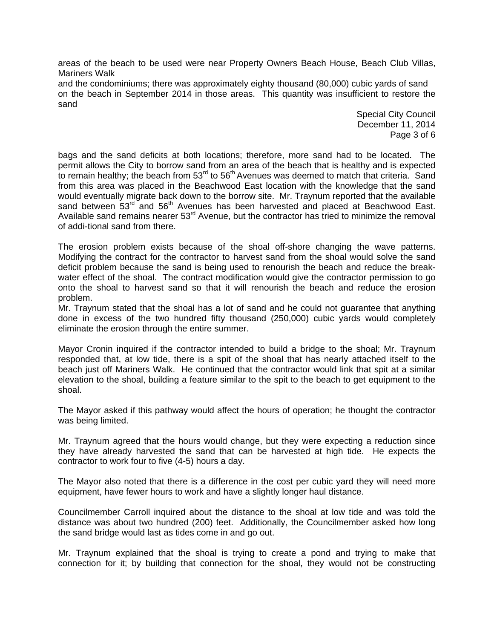areas of the beach to be used were near Property Owners Beach House, Beach Club Villas, Mariners Walk

and the condominiums; there was approximately eighty thousand (80,000) cubic yards of sand on the beach in September 2014 in those areas. This quantity was insufficient to restore the sand

> Special City Council December 11, 2014 Page 3 of 6

bags and the sand deficits at both locations; therefore, more sand had to be located. The permit allows the City to borrow sand from an area of the beach that is healthy and is expected to remain healthy; the beach from  $53<sup>rd</sup>$  to  $56<sup>th</sup>$  Avenues was deemed to match that criteria. Sand from this area was placed in the Beachwood East location with the knowledge that the sand would eventually migrate back down to the borrow site. Mr. Traynum reported that the available sand between  $53^{rd}$  and  $56^{th}$  Avenues has been harvested and placed at Beachwood East. Available sand remains nearer  $53<sup>rd</sup>$  Avenue, but the contractor has tried to minimize the removal of addi-tional sand from there.

The erosion problem exists because of the shoal off-shore changing the wave patterns. Modifying the contract for the contractor to harvest sand from the shoal would solve the sand deficit problem because the sand is being used to renourish the beach and reduce the breakwater effect of the shoal. The contract modification would give the contractor permission to go onto the shoal to harvest sand so that it will renourish the beach and reduce the erosion problem.

Mr. Traynum stated that the shoal has a lot of sand and he could not guarantee that anything done in excess of the two hundred fifty thousand (250,000) cubic yards would completely eliminate the erosion through the entire summer.

Mayor Cronin inquired if the contractor intended to build a bridge to the shoal; Mr. Traynum responded that, at low tide, there is a spit of the shoal that has nearly attached itself to the beach just off Mariners Walk. He continued that the contractor would link that spit at a similar elevation to the shoal, building a feature similar to the spit to the beach to get equipment to the shoal.

The Mayor asked if this pathway would affect the hours of operation; he thought the contractor was being limited.

Mr. Traynum agreed that the hours would change, but they were expecting a reduction since they have already harvested the sand that can be harvested at high tide. He expects the contractor to work four to five (4-5) hours a day.

The Mayor also noted that there is a difference in the cost per cubic yard they will need more equipment, have fewer hours to work and have a slightly longer haul distance.

Councilmember Carroll inquired about the distance to the shoal at low tide and was told the distance was about two hundred (200) feet. Additionally, the Councilmember asked how long the sand bridge would last as tides come in and go out.

Mr. Traynum explained that the shoal is trying to create a pond and trying to make that connection for it; by building that connection for the shoal, they would not be constructing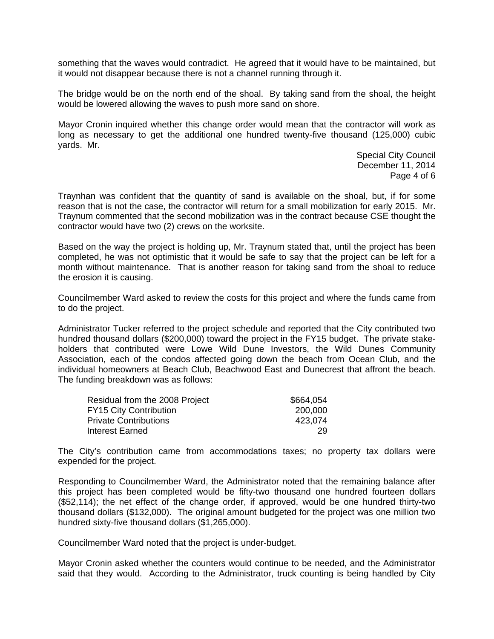something that the waves would contradict. He agreed that it would have to be maintained, but it would not disappear because there is not a channel running through it.

The bridge would be on the north end of the shoal. By taking sand from the shoal, the height would be lowered allowing the waves to push more sand on shore.

Mayor Cronin inquired whether this change order would mean that the contractor will work as long as necessary to get the additional one hundred twenty-five thousand (125,000) cubic yards. Mr.

> Special City Council December 11, 2014 Page 4 of 6

Traynhan was confident that the quantity of sand is available on the shoal, but, if for some reason that is not the case, the contractor will return for a small mobilization for early 2015. Mr. Traynum commented that the second mobilization was in the contract because CSE thought the contractor would have two (2) crews on the worksite.

Based on the way the project is holding up, Mr. Traynum stated that, until the project has been completed, he was not optimistic that it would be safe to say that the project can be left for a month without maintenance. That is another reason for taking sand from the shoal to reduce the erosion it is causing.

Councilmember Ward asked to review the costs for this project and where the funds came from to do the project.

Administrator Tucker referred to the project schedule and reported that the City contributed two hundred thousand dollars (\$200,000) toward the project in the FY15 budget. The private stakeholders that contributed were Lowe Wild Dune Investors, the Wild Dunes Community Association, each of the condos affected going down the beach from Ocean Club, and the individual homeowners at Beach Club, Beachwood East and Dunecrest that affront the beach. The funding breakdown was as follows:

| \$664,054 |
|-----------|
| 200,000   |
| 423.074   |
| 29        |
|           |

The City's contribution came from accommodations taxes; no property tax dollars were expended for the project.

Responding to Councilmember Ward, the Administrator noted that the remaining balance after this project has been completed would be fifty-two thousand one hundred fourteen dollars (\$52,114); the net effect of the change order, if approved, would be one hundred thirty-two thousand dollars (\$132,000). The original amount budgeted for the project was one million two hundred sixty-five thousand dollars (\$1,265,000).

Councilmember Ward noted that the project is under-budget.

Mayor Cronin asked whether the counters would continue to be needed, and the Administrator said that they would. According to the Administrator, truck counting is being handled by City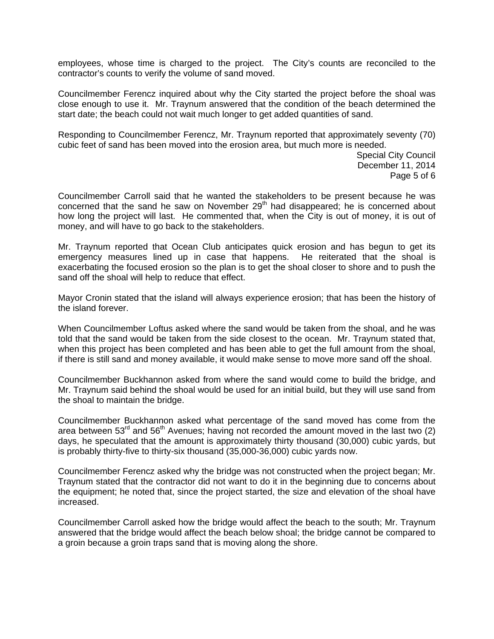employees, whose time is charged to the project. The City's counts are reconciled to the contractor's counts to verify the volume of sand moved.

Councilmember Ferencz inquired about why the City started the project before the shoal was close enough to use it. Mr. Traynum answered that the condition of the beach determined the start date; the beach could not wait much longer to get added quantities of sand.

Responding to Councilmember Ferencz, Mr. Traynum reported that approximately seventy (70) cubic feet of sand has been moved into the erosion area, but much more is needed.

> Special City Council December 11, 2014 Page 5 of 6

Councilmember Carroll said that he wanted the stakeholders to be present because he was concerned that the sand he saw on November  $29<sup>th</sup>$  had disappeared; he is concerned about how long the project will last. He commented that, when the City is out of money, it is out of money, and will have to go back to the stakeholders.

Mr. Traynum reported that Ocean Club anticipates quick erosion and has begun to get its emergency measures lined up in case that happens. He reiterated that the shoal is exacerbating the focused erosion so the plan is to get the shoal closer to shore and to push the sand off the shoal will help to reduce that effect.

Mayor Cronin stated that the island will always experience erosion; that has been the history of the island forever.

When Councilmember Loftus asked where the sand would be taken from the shoal, and he was told that the sand would be taken from the side closest to the ocean. Mr. Traynum stated that, when this project has been completed and has been able to get the full amount from the shoal, if there is still sand and money available, it would make sense to move more sand off the shoal.

Councilmember Buckhannon asked from where the sand would come to build the bridge, and Mr. Traynum said behind the shoal would be used for an initial build, but they will use sand from the shoal to maintain the bridge.

Councilmember Buckhannon asked what percentage of the sand moved has come from the area between  $53<sup>rd</sup>$  and  $56<sup>th</sup>$  Avenues; having not recorded the amount moved in the last two (2) days, he speculated that the amount is approximately thirty thousand (30,000) cubic yards, but is probably thirty-five to thirty-six thousand (35,000-36,000) cubic yards now.

Councilmember Ferencz asked why the bridge was not constructed when the project began; Mr. Traynum stated that the contractor did not want to do it in the beginning due to concerns about the equipment; he noted that, since the project started, the size and elevation of the shoal have increased.

Councilmember Carroll asked how the bridge would affect the beach to the south; Mr. Traynum answered that the bridge would affect the beach below shoal; the bridge cannot be compared to a groin because a groin traps sand that is moving along the shore.